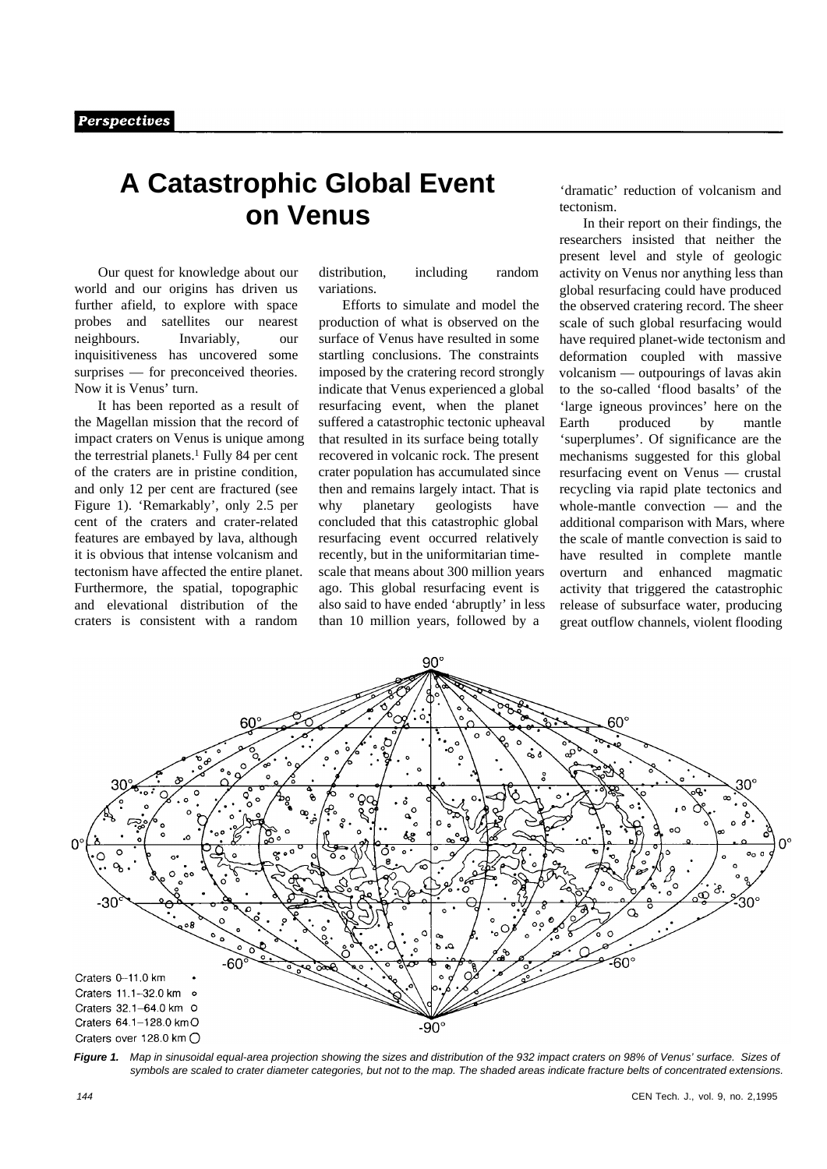## **A Catastrophic Global Event on Venus**

Our quest for knowledge about our world and our origins has driven us further afield, to explore with space probes and satellites our nearest neighbours. Invariably, our inquisitiveness has uncovered some surprises — for preconceived theories. Now it is Venus' turn.

It has been reported as a result of the Magellan mission that the record of impact craters on Venus is unique among the terrestrial planets.1 Fully 84 per cent of the craters are in pristine condition, and only 12 per cent are fractured (see Figure 1). 'Remarkably', only 2.5 per cent of the craters and crater-related features are embayed by lava, although it is obvious that intense volcanism and tectonism have affected the entire planet. Furthermore, the spatial, topographic and elevational distribution of the craters is consistent with a random

distribution, including random variations.

Efforts to simulate and model the production of what is observed on the surface of Venus have resulted in some startling conclusions. The constraints imposed by the cratering record strongly indicate that Venus experienced a global resurfacing event, when the planet suffered a catastrophic tectonic upheaval that resulted in its surface being totally recovered in volcanic rock. The present crater population has accumulated since then and remains largely intact. That is why planetary geologists have concluded that this catastrophic global resurfacing event occurred relatively recently, but in the uniformitarian timescale that means about 300 million years ago. This global resurfacing event is also said to have ended 'abruptly' in less than 10 million years, followed by a

'dramatic' reduction of volcanism and tectonism.

In their report on their findings, the researchers insisted that neither the present level and style of geologic activity on Venus nor anything less than global resurfacing could have produced the observed cratering record. The sheer scale of such global resurfacing would have required planet-wide tectonism and deformation coupled with massive volcanism — outpourings of lavas akin to the so-called 'flood basalts' of the 'large igneous provinces' here on the Earth produced by mantle 'superplumes'. Of significance are the mechanisms suggested for this global resurfacing event on Venus — crustal recycling via rapid plate tectonics and whole-mantle convection — and the additional comparison with Mars, where the scale of mantle convection is said to have resulted in complete mantle overturn and enhanced magmatic activity that triggered the catastrophic release of subsurface water, producing great outflow channels, violent flooding



*Figure 1. Map in sinusoidal equal-area projection showing the sizes and distribution of the 932 impact craters on 98% of Venus' surface. Sizes of symbols are scaled to crater diameter categories, but not to the map. The shaded areas indicate fracture belts of concentrated extensions.*